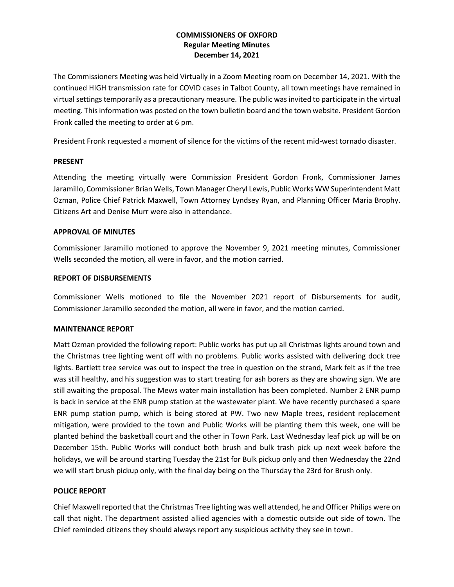# **COMMISSIONERS OF OXFORD Regular Meeting Minutes December 14, 2021**

The Commissioners Meeting was held Virtually in a Zoom Meeting room on December 14, 2021. With the continued HIGH transmission rate for COVID cases in Talbot County, all town meetings have remained in virtual settings temporarily as a precautionary measure. The public was invited to participate in the virtual meeting. This information was posted on the town bulletin board and the town website. President Gordon Fronk called the meeting to order at 6 pm.

President Fronk requested a moment of silence for the victims of the recent mid-west tornado disaster.

## **PRESENT**

Attending the meeting virtually were Commission President Gordon Fronk, Commissioner James Jaramillo, Commissioner Brian Wells, Town Manager Cheryl Lewis, Public Works WW Superintendent Matt Ozman, Police Chief Patrick Maxwell, Town Attorney Lyndsey Ryan, and Planning Officer Maria Brophy. Citizens Art and Denise Murr were also in attendance.

# **APPROVAL OF MINUTES**

Commissioner Jaramillo motioned to approve the November 9, 2021 meeting minutes, Commissioner Wells seconded the motion, all were in favor, and the motion carried.

## **REPORT OF DISBURSEMENTS**

Commissioner Wells motioned to file the November 2021 report of Disbursements for audit, Commissioner Jaramillo seconded the motion, all were in favor, and the motion carried.

## **MAINTENANCE REPORT**

Matt Ozman provided the following report: Public works has put up all Christmas lights around town and the Christmas tree lighting went off with no problems. Public works assisted with delivering dock tree lights. Bartlett tree service was out to inspect the tree in question on the strand, Mark felt as if the tree was still healthy, and his suggestion was to start treating for ash borers as they are showing sign. We are still awaiting the proposal. The Mews water main installation has been completed. Number 2 ENR pump is back in service at the ENR pump station at the wastewater plant. We have recently purchased a spare ENR pump station pump, which is being stored at PW. Two new Maple trees, resident replacement mitigation, were provided to the town and Public Works will be planting them this week, one will be planted behind the basketball court and the other in Town Park. Last Wednesday leaf pick up will be on December 15th. Public Works will conduct both brush and bulk trash pick up next week before the holidays, we will be around starting Tuesday the 21st for Bulk pickup only and then Wednesday the 22nd we will start brush pickup only, with the final day being on the Thursday the 23rd for Brush only.

# **POLICE REPORT**

Chief Maxwell reported that the Christmas Tree lighting was well attended, he and Officer Philips were on call that night. The department assisted allied agencies with a domestic outside out side of town. The Chief reminded citizens they should always report any suspicious activity they see in town.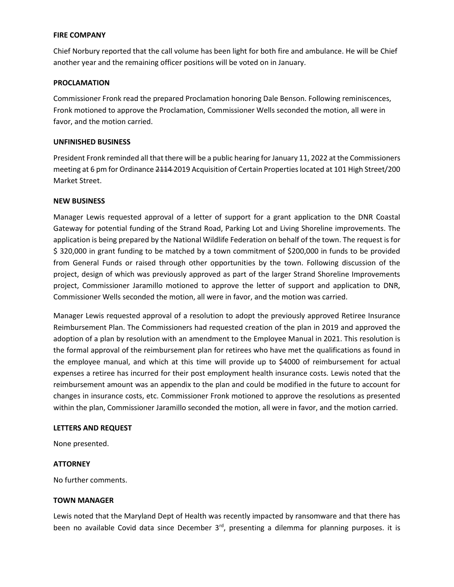### **FIRE COMPANY**

Chief Norbury reported that the call volume has been light for both fire and ambulance. He will be Chief another year and the remaining officer positions will be voted on in January.

## **PROCLAMATION**

Commissioner Fronk read the prepared Proclamation honoring Dale Benson. Following reminiscences, Fronk motioned to approve the Proclamation, Commissioner Wells seconded the motion, all were in favor, and the motion carried.

## **UNFINISHED BUSINESS**

President Fronk reminded all that there will be a public hearing for January 11, 2022 at the Commissioners meeting at 6 pm for Ordinance 2114-2019 Acquisition of Certain Properties located at 101 High Street/200 Market Street.

## **NEW BUSINESS**

Manager Lewis requested approval of a letter of support for a grant application to the DNR Coastal Gateway for potential funding of the Strand Road, Parking Lot and Living Shoreline improvements. The application is being prepared by the National Wildlife Federation on behalf of the town. The request is for \$ 320,000 in grant funding to be matched by a town commitment of \$200,000 in funds to be provided from General Funds or raised through other opportunities by the town. Following discussion of the project, design of which was previously approved as part of the larger Strand Shoreline Improvements project, Commissioner Jaramillo motioned to approve the letter of support and application to DNR, Commissioner Wells seconded the motion, all were in favor, and the motion was carried.

Manager Lewis requested approval of a resolution to adopt the previously approved Retiree Insurance Reimbursement Plan. The Commissioners had requested creation of the plan in 2019 and approved the adoption of a plan by resolution with an amendment to the Employee Manual in 2021. This resolution is the formal approval of the reimbursement plan for retirees who have met the qualifications as found in the employee manual, and which at this time will provide up to \$4000 of reimbursement for actual expenses a retiree has incurred for their post employment health insurance costs. Lewis noted that the reimbursement amount was an appendix to the plan and could be modified in the future to account for changes in insurance costs, etc. Commissioner Fronk motioned to approve the resolutions as presented within the plan, Commissioner Jaramillo seconded the motion, all were in favor, and the motion carried.

## **LETTERS AND REQUEST**

None presented.

## **ATTORNEY**

No further comments.

## **TOWN MANAGER**

Lewis noted that the Maryland Dept of Health was recently impacted by ransomware and that there has been no available Covid data since December 3<sup>rd</sup>, presenting a dilemma for planning purposes. it is